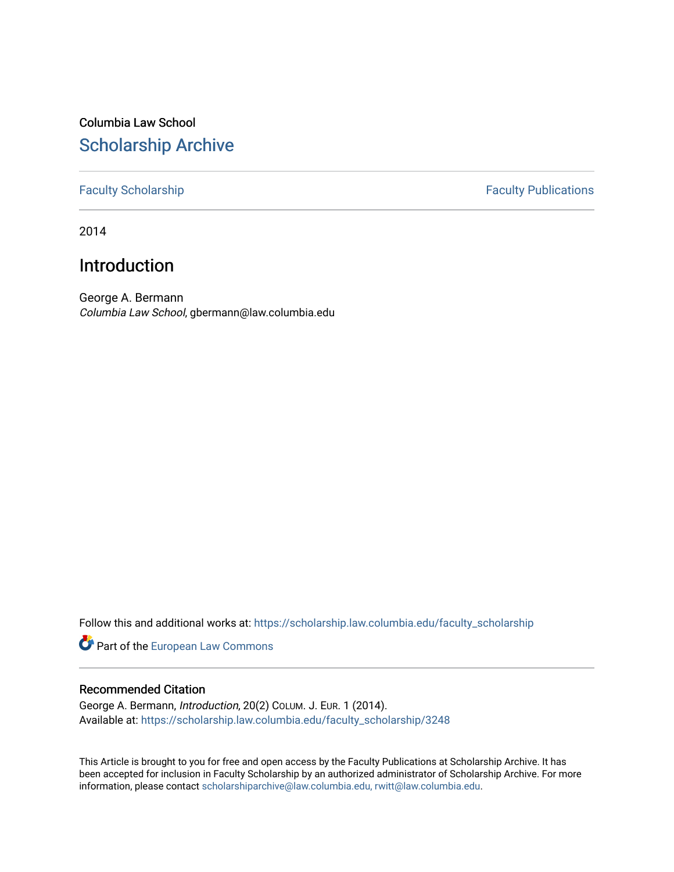# Columbia Law School [Scholarship Archive](https://scholarship.law.columbia.edu/)

### [Faculty Scholarship](https://scholarship.law.columbia.edu/faculty_scholarship) **Faculty Publications**

2014

## Introduction

George A. Bermann Columbia Law School, gbermann@law.columbia.edu

Follow this and additional works at: [https://scholarship.law.columbia.edu/faculty\\_scholarship](https://scholarship.law.columbia.edu/faculty_scholarship?utm_source=scholarship.law.columbia.edu%2Ffaculty_scholarship%2F3248&utm_medium=PDF&utm_campaign=PDFCoverPages)

Part of the [European Law Commons](http://network.bepress.com/hgg/discipline/1084?utm_source=scholarship.law.columbia.edu%2Ffaculty_scholarship%2F3248&utm_medium=PDF&utm_campaign=PDFCoverPages) 

### Recommended Citation

George A. Bermann, Introduction, 20(2) COLUM. J. EUR. 1 (2014). Available at: [https://scholarship.law.columbia.edu/faculty\\_scholarship/3248](https://scholarship.law.columbia.edu/faculty_scholarship/3248?utm_source=scholarship.law.columbia.edu%2Ffaculty_scholarship%2F3248&utm_medium=PDF&utm_campaign=PDFCoverPages)

This Article is brought to you for free and open access by the Faculty Publications at Scholarship Archive. It has been accepted for inclusion in Faculty Scholarship by an authorized administrator of Scholarship Archive. For more information, please contact [scholarshiparchive@law.columbia.edu, rwitt@law.columbia.edu](mailto:scholarshiparchive@law.columbia.edu,%20rwitt@law.columbia.edu).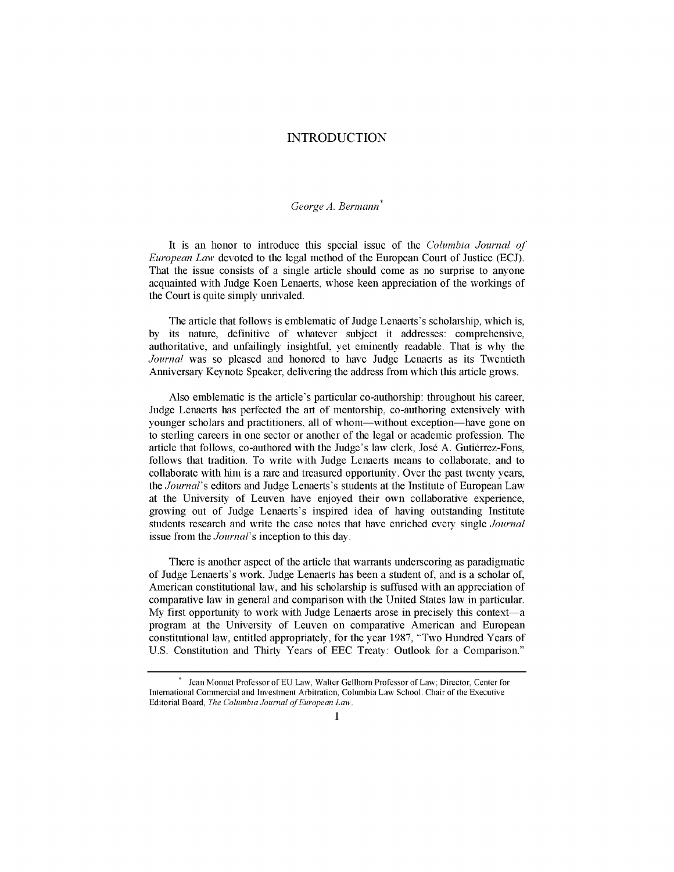#### **INTRODUCTION**

#### *George A. Bermann* **\***

It is an honor to introduce this special issue of the *Columbia Journal of European Law* devoted to the legal method of the European Court of Justice **(ECJ).** That the issue consists of a single article should come as no surprise to anyone acquainted with Judge Koen Lenaerts, whose keen appreciation of the workings of the Court is quite simply unrivaled.

The article that follows is emblematic of Judge Lenaerts's scholarship, which is, **by** its nature, definitive of whatever subject it addresses: comprehensive, authoritative, and unfailingly insightful, yet eminently readable. That is why the *Journal* was so pleased and honored to have Judge Lenaerts as its Twentieth Anniversary Keynote Speaker, delivering the address from which this article grows.

Also emblematic is the article's particular co-authorship: throughout his career, Judge Lenaerts has perfected the art of mentorship, co-authoring extensively with younger scholars and practitioners, all of whom-without exception-have gone on to sterling careers in one sector or another of the legal or academic profession. The article that follows, co-authored with the Judge's law clerk, José A. Gutiérrez-Fons, follows that tradition. To write with Judge Lenaerts means to collaborate, and to collaborate with him is a rare and treasured opportunity. Over the past twenty years, *the Journal's* editors and Judge Lenaerts's students at the Institute of European Law at the University of Leuven have enjoyed their own collaborative experience, growing out of Judge Lenaerts's inspired idea of having outstanding Institute students research and write the case notes that have enriched every single *Journal* issue from the *Journal's* inception to this day.

There is another aspect of the article that warrants underscoring as paradigmatic of Judge Lenaerts's work. Judge Lenaerts has been a student of, and is a scholar of, American constitutional law, and his scholarship is suffused with an appreciation of comparative law in general and comparison with the United States law in particular. **My** first opportunity to work with Judge Lenaerts arose in precisely this context-a program at the University of Leuven on comparative American and European constitutional law, entitled appropriately, for the year **1987,** "Two Hundred Years of **U.S.** Constitution and Thirty Years of **EEC** Treaty: Outlook for a Comparison."

Jean Monnet Professor of **EU** Law, Walter Gellhorn Professor of Law; Director, Center for International Commercial and Investment Arbitration, Columbia Law School. Chair of the Executive Editorial Board, *The Columbia Journal of European Law*.